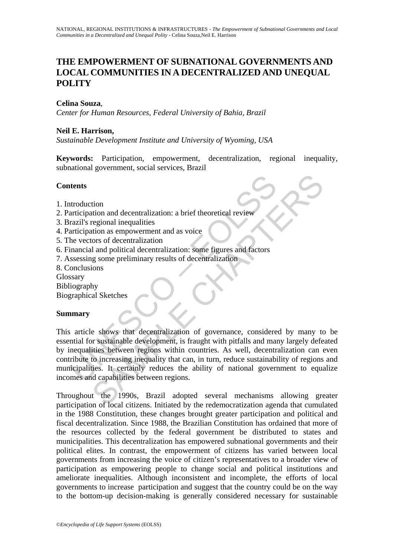# **THE EMPOWERMENT OF SUBNATIONAL GOVERNMENTS AND LOCAL COMMUNITIES IN A DECENTRALIZED AND UNEQUAL POLITY**

## **Celina Souza**,

*Center for Human Resources, Federal University of Bahia, Brazil* 

### **Neil E. Harrison,**

*Sustainable Development Institute and University of Wyoming, USA* 

**Keywords:** Participation, empowerment, decentralization, regional inequality, subnational government, social services, Brazil

### **Contents**

- 1. Introduction
- 2. Participation and decentralization: a brief theoretical review
- 3. Brazil's regional inequalities
- 4. Participation as empowerment and as voice
- 5. The vectors of decentralization
- 6. Financial and political decentralization: some figures and factors
- 7. Assessing some preliminary results of decentralization
- 8. Conclusions

Glossary

Bibliography

Biographical Sketches

### **Summary**

**Example 18**<br>
Introduction<br>
Introduction and decentralization: a brief theoretical review<br>
Trazil's regional inequalities<br>
Intricipation as empowerment and as voice<br>
the vectors of decentralization: some figures and factor tion<br>
tion<br>
tion and decentralization: a brief theoretical review<br>
tion as empowerment and as voice<br>
cors of decentralization<br>
and political decentralization: some figures and factors<br>
ions<br>
by<br>
the al Sketches<br>
e shows th This article shows that decentralization of governance, considered by many to be essential for sustainable development, is fraught with pitfalls and many largely defeated by inequalities between regions within countries. As well, decentralization can even contribute to increasing inequality that can, in turn, reduce sustainability of regions and municipalities. It certainly reduces the ability of national government to equalize incomes and capabilities between regions.

Throughout the 1990s, Brazil adopted several mechanisms allowing greater participation of local citizens. Initiated by the redemocratization agenda that cumulated in the 1988 Constitution, these changes brought greater participation and political and fiscal decentralization. Since 1988, the Brazilian Constitution has ordained that more of the resources collected by the federal government be distributed to states and municipalities. This decentralization has empowered subnational governments and their political elites. In contrast, the empowerment of citizens has varied between local governments from increasing the voice of citizen's representatives to a broader view of participation as empowering people to change social and political institutions and ameliorate inequalities. Although inconsistent and incomplete, the efforts of local governments to increase participation and suggest that the country could be on the way to the bottom-up decision-making is generally considered necessary for sustainable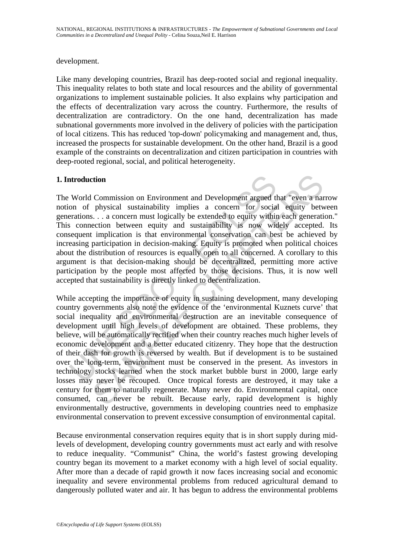#### development.

Like many developing countries, Brazil has deep-rooted social and regional inequality. This inequality relates to both state and local resources and the ability of governmental organizations to implement sustainable policies. It also explains why participation and the effects of decentralization vary across the country. Furthermore, the results of decentralization are contradictory. On the one hand, decentralization has made subnational governments more involved in the delivery of policies with the participation of local citizens. This has reduced 'top-down' policymaking and management and, thus, increased the prospects for sustainable development. On the other hand, Brazil is a good example of the constraints on decentralization and citizen participation in countries with deep-rooted regional, social, and political heterogeneity.

### **1. Introduction**

**Altroduction**<br>
World Commission on Environment and Development argued that to the presions. . . a concern must logically be extended to equity within<br>
is connection between equity and sustainability is now with<br>
sequent i The World Commission on Environment and Development argued that "even a narrow notion of physical sustainability implies a concern for social equity between generations. . . a concern must logically be extended to equity within each generation." This connection between equity and sustainability is now widely accepted. Its consequent implication is that environmental conservation can best be achieved by increasing participation in decision-making. Equity is promoted when political choices about the distribution of resources is equally open to all concerned. A corollary to this argument is that decision-making should be decentralized, permitting more active participation by the people most affected by those decisions. Thus, it is now well accepted that sustainability is directly linked to decentralization.

commission on Environment and Development argued that "even a nar<br>physical sustainability implies a concern for social equity between<br>s... a concern must logically be extended to equity within each generatie<br>ction between While accepting the importance of equity in sustaining development, many developing country governments also note the evidence of the 'environmental Kuznets curve' that social inequality and environmental destruction are an inevitable consequence of development until high levels of development are obtained. These problems, they believe, will be automatically rectified when their country reaches much higher levels of economic development and a better educated citizenry. They hope that the destruction of their dash for growth is reversed by wealth. But if development is to be sustained over the long-term, environment must be conserved in the present. As investors in technology stocks learned when the stock market bubble burst in 2000, large early losses may never be recouped. Once tropical forests are destroyed, it may take a century for them to naturally regenerate. Many never do. Environmental capital, once consumed, can never be rebuilt. Because early, rapid development is highly environmentally destructive, governments in developing countries need to emphasize environmental conservation to prevent excessive consumption of environmental capital.

Because environmental conservation requires equity that is in short supply during midlevels of development, developing country governments must act early and with resolve to reduce inequality. "Communist" China, the world's fastest growing developing country began its movement to a market economy with a high level of social equality. After more than a decade of rapid growth it now faces increasing social and economic inequality and severe environmental problems from reduced agricultural demand to dangerously polluted water and air. It has begun to address the environmental problems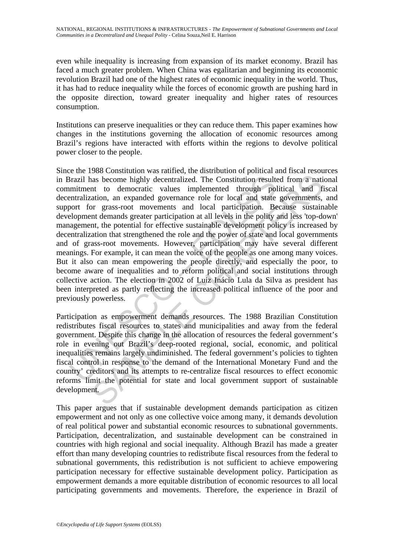even while inequality is increasing from expansion of its market economy. Brazil has faced a much greater problem. When China was egalitarian and beginning its economic revolution Brazil had one of the highest rates of economic inequality in the world. Thus, it has had to reduce inequality while the forces of economic growth are pushing hard in the opposite direction, toward greater inequality and higher rates of resources consumption.

Institutions can preserve inequalities or they can reduce them. This paper examines how changes in the institutions governing the allocation of economic resources among Brazil's regions have interacted with efforts within the regions to devolve political power closer to the people.

Brazil has become highly decentralized. The Constitution result<br>timitment to democratic values implemented through polentralization, an expanded governance role for local and state<br>port for grass-root movements and local p as become highly decentralized. The Constitution resulted from a nation to democratic values implemented through political and from a nation, an expanded governments of for local and state governments, are approximents con Since the 1988 Constitution was ratified, the distribution of political and fiscal resources in Brazil has become highly decentralized. The Constitution resulted from a national commitment to democratic values implemented through political and fiscal decentralization, an expanded governance role for local and state governments, and support for grass-root movements and local participation. Because sustainable development demands greater participation at all levels in the polity and less 'top-down' management, the potential for effective sustainable development policy is increased by decentralization that strengthened the role and the power of state and local governments and of grass-root movements. However, participation may have several different meanings. For example, it can mean the voice of the people as one among many voices. But it also can mean empowering the people directly, and especially the poor, to become aware of inequalities and to reform political and social institutions through collective action. The election in 2002 of Luiz Inácio Lula da Silva as president has been interpreted as partly reflecting the increased political influence of the poor and previously powerless.

Participation as empowerment demands resources. The 1988 Brazilian Constitution redistributes fiscal resources to states and municipalities and away from the federal government. Despite this change in the allocation of resources the federal government's role in evening out Brazil's deep-rooted regional, social, economic, and political inequalities remains largely undiminished. The federal government's policies to tighten fiscal control in response to the demand of the International Monetary Fund and the country' creditors and its attempts to re-centralize fiscal resources to effect economic reforms limit the potential for state and local government support of sustainable development.

This paper argues that if sustainable development demands participation as citizen empowerment and not only as one collective voice among many, it demands devolution of real political power and substantial economic resources to subnational governments. Participation, decentralization, and sustainable development can be constrained in countries with high regional and social inequality. Although Brazil has made a greater effort than many developing countries to redistribute fiscal resources from the federal to subnational governments, this redistribution is not sufficient to achieve empowering participation necessary for effective sustainable development policy. Participation as empowerment demands a more equitable distribution of economic resources to all local participating governments and movements. Therefore, the experience in Brazil of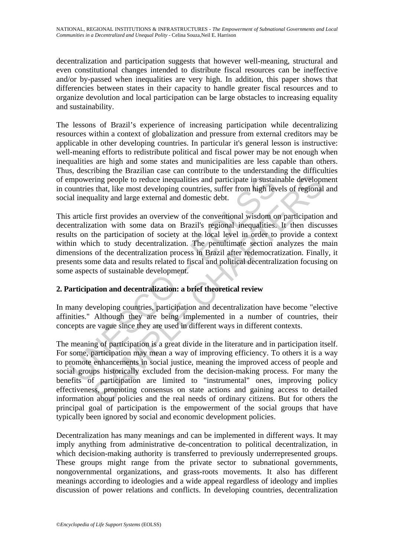decentralization and participation suggests that however well-meaning, structural and even constitutional changes intended to distribute fiscal resources can be ineffective and/or by-passed when inequalities are very high. In addition, this paper shows that differencies between states in their capacity to handle greater fiscal resources and to organize devolution and local participation can be large obstacles to increasing equality and sustainability.

The lessons of Brazil's experience of increasing participation while decentralizing resources within a context of globalization and pressure from external creditors may be applicable in other developing countries. In particular it's general lesson is instructive: well-meaning efforts to redistribute political and fiscal power may be not enough when inequalities are high and some states and municipalities are less capable than others. Thus, describing the Brazilian case can contribute to the understanding the difficulties of empowering people to reduce inequalities and participate in sustainable development in countries that, like most developing countries, suffer from high levels of regional and social inequality and large external and domestic debt.

mpowering people to reduce inequalities and participate in sustain<br>countries that, like most developing countries, suffer from high lev<br>al inequality and large external and domestic debt.<br>sarticle first provides an overvie This article first provides an overview of the conventional wisdom on participation and decentralization with some data on Brazil's regional inequalities. It then discusses results on the participation of society at the local level in order to provide a context within which to study decentralization. The penultimate section analyzes the main dimensions of the decentralization process in Brazil after redemocratization. Finally, it presents some data and results related to fiscal and political decentralization focusing on some aspects of sustainable development.

### **2. Participation and decentralization: a brief theoretical review**

In many developing countries, participation and decentralization have become "elective affinities." Although they are being implemented in a number of countries, their concepts are vague since they are used in different ways in different contexts.

Firing people to reduce inequalities and participate in sustainable developp<br>tring people to reduce inequalities and participate in sustainable developp<br>s that, like most developing countries, suffer from high levels of re The meaning of participation is a great divide in the literature and in participation itself. For some, participation may mean a way of improving efficiency. To others it is a way to promote enhancements in social justice, meaning the improved access of people and social groups historically excluded from the decision-making process. For many the benefits of participation are limited to "instrumental" ones, improving policy effectiveness, promoting consensus on state actions and gaining access to detailed information about policies and the real needs of ordinary citizens. But for others the principal goal of participation is the empowerment of the social groups that have typically been ignored by social and economic development policies.

Decentralization has many meanings and can be implemented in different ways. It may imply anything from administrative de-concentration to political decentralization, in which decision-making authority is transferred to previously underrepresented groups. These groups might range from the private sector to subnational governments, nongovernmental organizations, and grass-roots movements. It also has different meanings according to ideologies and a wide appeal regardless of ideology and implies discussion of power relations and conflicts. In developing countries, decentralization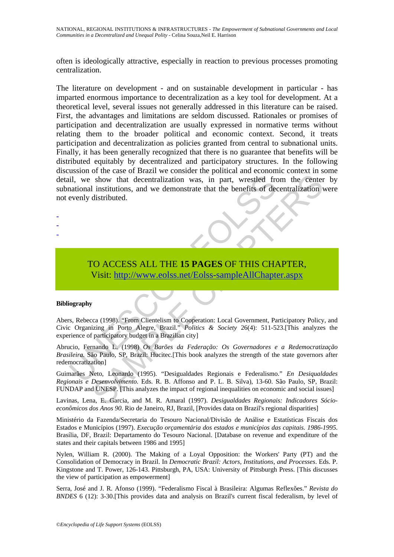often is ideologically attractive, especially in reaction to previous processes promoting centralization.

il, we show that decentralization was, in part, wrestled frequentional institutions, and we demonstrate that the benefits of decevenly distributed.<br>
TO ACCESS ALL THE 15 PAGES OF THIS CHA Visit: http://www.eolss.net/Eolssshow that decentralization was, in part, wrestled from the center<br>
institutions, and we demonstrate that the benefits of decentralization<br>
distributed.<br>
(Surfibuted.<br>
(Surfibuted.<br>
(Surfibuted.<br>
(Surfibuted.<br>
(Surfibuted. The literature on development - and on sustainable development in particular - has imparted enormous importance to decentralization as a key tool for development. At a theoretical level, several issues not generally addressed in this literature can be raised. First, the advantages and limitations are seldom discussed. Rationales or promises of participation and decentralization are usually expressed in normative terms without relating them to the broader political and economic context. Second, it treats participation and decentralization as policies granted from central to subnational units. Finally, it has been generally recognized that there is no guarantee that benefits will be distributed equitably by decentralized and participatory structures. In the following discussion of the case of Brazil we consider the political and economic context in some detail, we show that decentralization was, in part, wrestled from the center by subnational institutions, and we demonstrate that the benefits of decentralization were not evenly distributed.

-

- -

## TO ACCESS ALL THE **15 PAGES** OF THIS CHAPTER, Visit: http://www.eolss.net/Eolss-sampleAllChapter.aspx

#### **Bibliography**

Abers, Rebecca (1998). "From Clientelism to Cooperation: Local Government, Participatory Policy, and Civic Organizing in Porto Alegre, Brazil." *Politics & Society* 26(4): 511-523.[This analyzes the experience of participatory budget in a Brazilian city]

Abrucio, Fernando L. (1998) *Os Barões da Federação: Os Governadores e a Redemocratização Brasileira.* São Paulo, SP, Brazil: Hucitec.[This book analyzes the strength of the state governors after redemocratization]

Guimarães Neto, Leonardo (1995). "Desigualdades Regionais e Federalismo." *En Desiqualdades Regionais e Desenvolvimento.* Eds. R. B. Affonso and P. L. B. Silva), 13-60. São Paulo, SP, Brazil: FUNDAP and UNESP. [This analyzes the impact of regional inequalities on economic and social issues]

Lavinas, Lena, E. Garcia, and M. R. Amaral (1997). *Desigualdades Regionais: Indicadores Sócioeconômicos dos Anos 90.* Rio de Janeiro, RJ, Brazil, [Provides data on Brazil's regional disparities]

Ministério da Fazenda/Secretaria do Tesouro Nacional/Divisão de Análise e Estatísticas Fiscais dos Estados e Municípios (1997). *Execução orçamentária dos estados e municípios das capitais. 1986-1995*. Brasília, DF, Brazil: Departamento do Tesouro Nacional. [Database on revenue and expenditure of the states and their capitals between 1986 and 1995]

Nylen, William R. (2000). The Making of a Loyal Opposition: the Workers' Party (PT) and the Consolidation of Democracy in Brazil. In *Democratic Brazil: Actors, Institutions, and Processes*. Eds. P. Kingstone and T. Power, 126-143. Pittsburgh, PA, USA: University of Pittsburgh Press. [This discusses the view of participation as empowerment]

Serra, José and J. R. Afonso (1999). "Federalismo Fiscal à Brasileira: Algumas Reflexões." *Revista do BNDES* 6 (12): 3-30.[This provides data and analysis on Brazil's current fiscal federalism, by level of